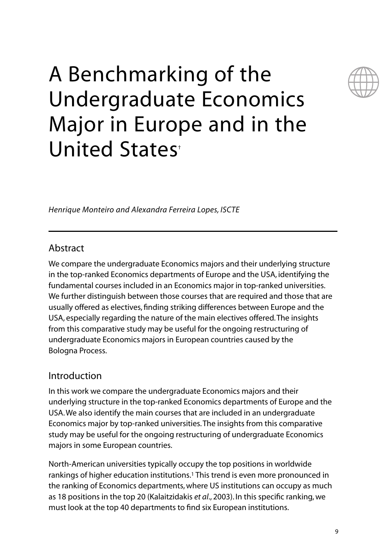

# A Benchmarking of the Undergraduate Economics Major in Europe and in the United States†

*Henrique Monteiro and Alexandra Ferreira Lopes, ISCTE*

## Abstract

We compare the undergraduate Economics majors and their underlying structure in the top-ranked Economics departments of Europe and the USA, identifying the fundamental courses included in an Economics major in top-ranked universities. We further distinguish between those courses that are required and those that are usually offered as electives, finding striking differences between Europe and the USA, especially regarding the nature of the main electives offered.The insights from this comparative study may be useful for the ongoing restructuring of undergraduate Economics majors in European countries caused by the Bologna Process.

## Introduction

In this work we compare the undergraduate Economics majors and their underlying structure in the top-ranked Economics departments of Europe and the USA.We also identify the main courses that are included in an undergraduate Economics major by top-ranked universities.The insights from this comparative study may be useful for the ongoing restructuring of undergraduate Economics majors in some European countries.

North-American universities typically occupy the top positions in worldwide rankings of higher education institutions. <sup>1</sup> This trend is even more pronounced in the ranking of Economics departments, where US institutions can occupy as much as 18 positions in the top 20 (Kalaitzidakis *et al*., 2003). In this specific ranking, we must look at the top 40 departments to find six European institutions.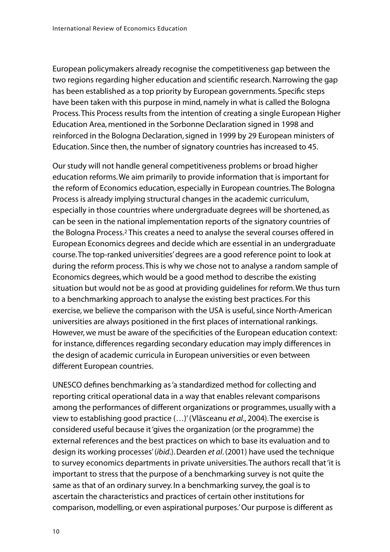European policymakers already recognise the competitiveness gap between the two regions regarding higher education and scientific research. Narrowing the gap has been established as a top priority by European governments. Specific steps have been taken with this purpose in mind, namely in what is called the Bologna Process.This Process results from the intention of creating a single European Higher Education Area, mentioned in the Sorbonne Declaration signed in 1998 and reinforced in the Bologna Declaration, signed in 1999 by 29 European ministers of Education. Since then, the number of signatory countries has increased to 45.

Our study will not handle general competitiveness problems or broad higher education reforms.We aim primarily to provide information that is important for the reform of Economics education, especially in European countries.The Bologna Process is already implying structural changes in the academic curriculum, especially in those countries where undergraduate degrees will be shortened, as can be seen in the national implementation reports of the signatory countries of the Bologna Process.2 This creates a need to analyse the several courses offered in European Economics degrees and decide which are essential in an undergraduate course.The top-ranked universities' degrees are a good reference point to look at during the reform process.This is why we chose not to analyse a random sample of Economics degrees, which would be a good method to describe the existing situation but would not be as good at providing guidelines for reform.We thus turn to a benchmarking approach to analyse the existing best practices. For this exercise, we believe the comparison with the USA is useful, since North-American universities are always positioned in the first places of international rankings. However, we must be aware of the specificities of the European education context: for instance, differences regarding secondary education may imply differences in the design of academic curricula in European universities or even between different European countries.

UNESCO defines benchmarking as 'a standardized method for collecting and reporting critical operational data in a way that enables relevant comparisons among the performances of different organizations or programmes, usually with a view to establishing good practice (...)' (Vlăsceanu *et al.*, 2004). The exercise is considered useful because it 'gives the organization (or the programme) the external references and the best practices on which to base its evaluation and to design its working processes' (*ibid*.). Dearden *et al*. (2001) have used the technique to survey economics departments in private universities.The authors recall that 'it is important to stress that the purpose of a benchmarking survey is not quite the same as that of an ordinary survey. In a benchmarking survey, the goal is to ascertain the characteristics and practices of certain other institutions for comparison, modelling, or even aspirational purposes.' Our purpose is different as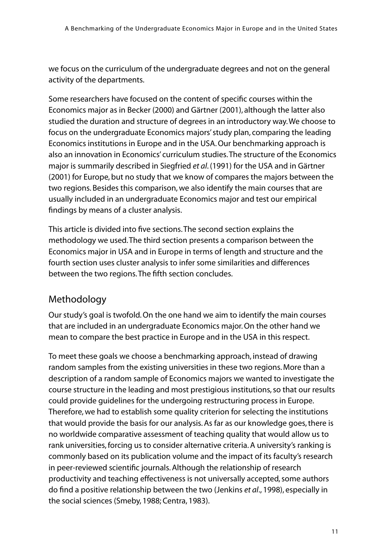we focus on the curriculum of the undergraduate degrees and not on the general activity of the departments.

Some researchers have focused on the content of specific courses within the Economics major as in Becker (2000) and Gärtner (2001), although the latter also studied the duration and structure of degrees in an introductory way.We choose to focus on the undergraduate Economics majors' study plan, comparing the leading Economics institutions in Europe and in the USA. Our benchmarking approach is also an innovation in Economics' curriculum studies.The structure of the Economics major is summarily described in Siegfried *et al*. (1991) for the USA and in Gärtner (2001) for Europe, but no study that we know of compares the majors between the two regions. Besides this comparison, we also identify the main courses that are usually included in an undergraduate Economics major and test our empirical findings by means of a cluster analysis.

This article is divided into five sections.The second section explains the methodology we used.The third section presents a comparison between the Economics major in USA and in Europe in terms of length and structure and the fourth section uses cluster analysis to infer some similarities and differences between the two regions.The fifth section concludes.

# Methodology

Our study's goal is twofold. On the one hand we aim to identify the main courses that are included in an undergraduate Economics major. On the other hand we mean to compare the best practice in Europe and in the USA in this respect.

To meet these goals we choose a benchmarking approach, instead of drawing random samples from the existing universities in these two regions. More than a description of a random sample of Economics majors we wanted to investigate the course structure in the leading and most prestigious institutions, so that our results could provide guidelines for the undergoing restructuring process in Europe. Therefore, we had to establish some quality criterion for selecting the institutions that would provide the basis for our analysis. As far as our knowledge goes, there is no worldwide comparative assessment of teaching quality that would allow us to rank universities, forcing us to consider alternative criteria. A university's ranking is commonly based on its publication volume and the impact of its faculty's research in peer-reviewed scientific journals. Although the relationship of research productivity and teaching effectiveness is not universally accepted, some authors do find a positive relationship between the two (Jenkins *et al*., 1998), especially in the social sciences (Smeby, 1988; Centra, 1983).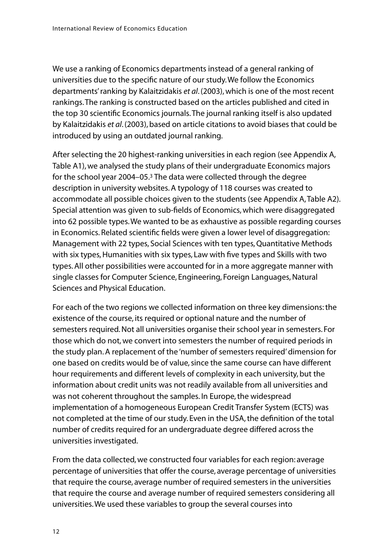We use a ranking of Economics departments instead of a general ranking of universities due to the specific nature of our study.We follow the Economics departments' ranking by Kalaitzidakis *et al*. (2003), which is one of the most recent rankings.The ranking is constructed based on the articles published and cited in the top 30 scientific Economics journals.The journal ranking itself is also updated by Kalaitzidakis *et al*. (2003), based on article citations to avoid biases that could be introduced by using an outdated journal ranking.

After selecting the 20 highest-ranking universities in each region (see Appendix A, Table A1), we analysed the study plans of their undergraduate Economics majors for the school year 2004–05.3 The data were collected through the degree description in university websites. A typology of 118 courses was created to accommodate all possible choices given to the students (see Appendix A,Table A2). Special attention was given to sub-fields of Economics, which were disaggregated into 62 possible types.We wanted to be as exhaustive as possible regarding courses in Economics. Related scientific fields were given a lower level of disaggregation: Management with 22 types, Social Sciences with ten types, Quantitative Methods with six types, Humanities with six types, Law with five types and Skills with two types. All other possibilities were accounted for in a more aggregate manner with single classes for Computer Science, Engineering, Foreign Languages, Natural Sciences and Physical Education.

For each of the two regions we collected information on three key dimensions: the existence of the course, its required or optional nature and the number of semesters required. Not all universities organise their school year in semesters. For those which do not, we convert into semesters the number of required periods in the study plan.A replacement of the 'number of semesters required' dimension for one based on credits would be of value, since the same course can have different hour requirements and different levels of complexity in each university, but the information about credit units was not readily available from all universities and was not coherent throughout the samples. In Europe, the widespread implementation of a homogeneous European Credit Transfer System (ECTS) was not completed at the time of our study. Even in the USA, the definition of the total number of credits required for an undergraduate degree differed across the universities investigated.

From the data collected, we constructed four variables for each region: average percentage of universities that offer the course, average percentage of universities that require the course, average number of required semesters in the universities that require the course and average number of required semesters considering all universities.We used these variables to group the several courses into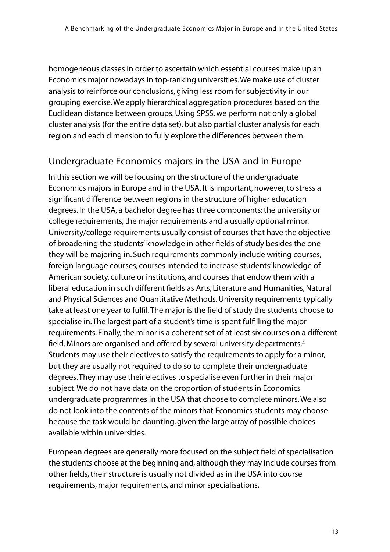homogeneous classes in order to ascertain which essential courses make up an Economics major nowadays in top-ranking universities.We make use of cluster analysis to reinforce our conclusions, giving less room for subjectivity in our grouping exercise.We apply hierarchical aggregation procedures based on the Euclidean distance between groups. Using SPSS, we perform not only a global cluster analysis (for the entire data set), but also partial cluster analysis for each region and each dimension to fully explore the differences between them.

# Undergraduate Economics majors in the USA and in Europe

In this section we will be focusing on the structure of the undergraduate Economics majors in Europe and in the USA. It is important, however, to stress a significant difference between regions in the structure of higher education degrees. In the USA, a bachelor degree has three components: the university or college requirements, the major requirements and a usually optional minor. University/college requirements usually consist of courses that have the objective of broadening the students' knowledge in other fields of study besides the one they will be majoring in. Such requirements commonly include writing courses, foreign language courses, courses intended to increase students' knowledge of American society, culture or institutions, and courses that endow them with a liberal education in such different fields as Arts, Literature and Humanities, Natural and Physical Sciences and Quantitative Methods. University requirements typically take at least one year to fulfil.The major is the field of study the students choose to specialise in.The largest part of a student's time is spent fulfilling the major requirements. Finally, the minor is a coherent set of at least six courses on a different field. Minors are organised and offered by several university departments.4 Students may use their electives to satisfy the requirements to apply for a minor, but they are usually not required to do so to complete their undergraduate degrees.They may use their electives to specialise even further in their major subject.We do not have data on the proportion of students in Economics undergraduate programmes in the USA that choose to complete minors.We also do not look into the contents of the minors that Economics students may choose because the task would be daunting, given the large array of possible choices available within universities.

European degrees are generally more focused on the subject field of specialisation the students choose at the beginning and, although they may include courses from other fields, their structure is usually not divided as in the USA into course requirements, major requirements, and minor specialisations.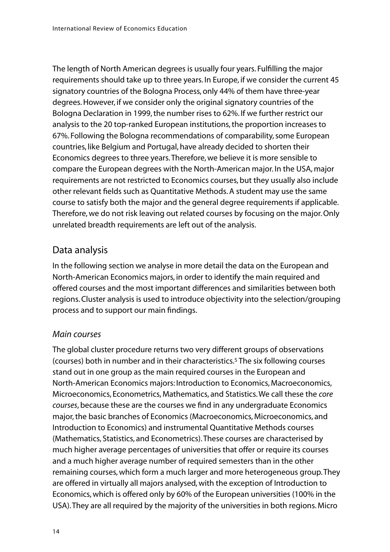The length of North American degrees is usually four years. Fulfilling the major requirements should take up to three years. In Europe, if we consider the current 45 signatory countries of the Bologna Process, only 44% of them have three-year degrees. However, if we consider only the original signatory countries of the Bologna Declaration in 1999, the number rises to 62%. If we further restrict our analysis to the 20 top-ranked European institutions, the proportion increases to 67%. Following the Bologna recommendations of comparability, some European countries, like Belgium and Portugal, have already decided to shorten their Economics degrees to three years.Therefore, we believe it is more sensible to compare the European degrees with the North-American major. In the USA, major requirements are not restricted to Economics courses, but they usually also include other relevant fields such as Quantitative Methods. A student may use the same course to satisfy both the major and the general degree requirements if applicable. Therefore, we do not risk leaving out related courses by focusing on the major. Only unrelated breadth requirements are left out of the analysis.

# Data analysis

In the following section we analyse in more detail the data on the European and North-American Economics majors, in order to identify the main required and offered courses and the most important differences and similarities between both regions. Cluster analysis is used to introduce objectivity into the selection/grouping process and to support our main findings.

#### *Main courses*

The global cluster procedure returns two very different groups of observations (courses) both in number and in their characteristics.5 The six following courses stand out in one group as the main required courses in the European and North-American Economics majors: Introduction to Economics, Macroeconomics, Microeconomics, Econometrics, Mathematics, and Statistics.We call these the *core courses*, because these are the courses we find in any undergraduate Economics major, the basic branches of Economics (Macroeconomics, Microeconomics, and Introduction to Economics) and instrumental Quantitative Methods courses (Mathematics, Statistics, and Econometrics).These courses are characterised by much higher average percentages of universities that offer or require its courses and a much higher average number of required semesters than in the other remaining courses,which form a much larger and more heterogeneous group.They are offered in virtually all majors analysed,with the exception of Introduction to Economics, which is offered only by 60% of the European universities (100% in the USA).They are all required by the majority of the universities in both regions. Micro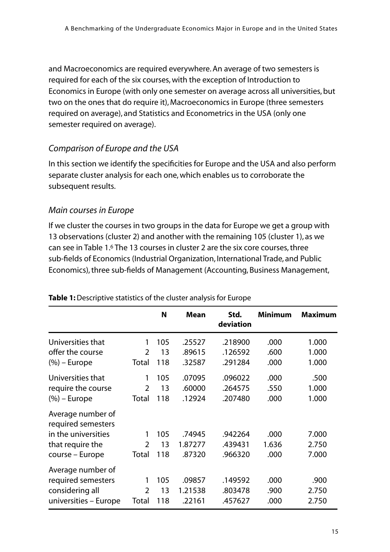and Macroeconomics are required everywhere. An average of two semesters is required for each of the six courses, with the exception of Introduction to Economics in Europe (with only one semester on average across all universities, but two on the ones that do require it), Macroeconomics in Europe (three semesters required on average), and Statistics and Econometrics in the USA (only one semester required on average).

#### *Comparison of Europe and the USA*

In this section we identify the specificities for Europe and the USA and also perform separate cluster analysis for each one, which enables us to corroborate the subsequent results.

#### *Main courses in Europe*

If we cluster the courses in two groups in the data for Europe we get a group with 13 observations (cluster 2) and another with the remaining 105 (cluster 1), as we can see in Table 1.6 The 13 courses in cluster 2 are the six core courses, three sub-fields of Economics (Industrial Organization, International Trade, and Public Economics), three sub-fields of Management (Accounting, Business Management,

|                                         |                | N   | Mean    | Std.<br>deviation | Minimum | Maximum |
|-----------------------------------------|----------------|-----|---------|-------------------|---------|---------|
| Universities that                       | 1              | 105 | .25527  | .218900           | .000    | 1.000   |
| offer the course                        | $\mathfrak{p}$ | 13  | .89615  | .126592           | .600    | 1.000   |
| $(\%)$ – Europe                         | Total          | 118 | .32587  | .291284           | .000    | 1.000   |
| Universities that                       | 1              | 105 | .07095  | .096022           | .000    | .500    |
| require the course                      | $\mathfrak{p}$ | 13  | .60000  | .264575           | .550    | 1.000   |
| $(\%)$ – Europe                         | Total          | 118 | .12924  | .207480           | .000    | 1.000   |
| Average number of<br>required semesters |                |     |         |                   |         |         |
| in the universities                     | 1              | 105 | .74945  | .942264           | .000    | 7.000   |
| that require the                        | C              | 13  | 1.87277 | .439431           | 1.636   | 2.750   |
| course – Europe                         | Total          | 118 | .87320  | .966320           | .000    | 7.000   |
| Average number of                       |                |     |         |                   |         |         |
| required semesters                      | 1              | 105 | .09857  | .149592           | .000    | .900    |
| considering all                         | $\mathcal{P}$  | 13  | 1.21538 | .803478           | .900    | 2.750   |
| universities - Europe                   | Total          | 118 | .22161  | .457627           | .000    | 2.750   |

**Table 1:**Descriptive statistics of the cluster analysis for Europe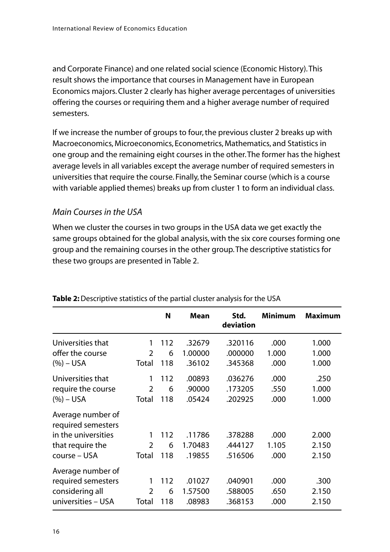and Corporate Finance) and one related social science (Economic History).This result shows the importance that courses in Management have in European Economics majors. Cluster 2 clearly has higher average percentages of universities offering the courses or requiring them and a higher average number of required semesters.

If we increase the number of groups to four, the previous cluster 2 breaks up with Macroeconomics, Microeconomics, Econometrics, Mathematics, and Statistics in one group and the remaining eight courses in the other.The former has the highest average levels in all variables except the average number of required semesters in universities that require the course. Finally, the Seminar course (which is a course with variable applied themes) breaks up from cluster 1 to form an individual class.

## *Main Courses in the USA*

When we cluster the courses in two groups in the USA data we get exactly the same groups obtained for the global analysis, with the six core courses forming one group and the remaining courses in the other group.The descriptive statistics for these two groups are presented in Table 2.

|                                         |                | N   | Mean    | Std.<br>deviation | Minimum | Maximum |
|-----------------------------------------|----------------|-----|---------|-------------------|---------|---------|
| Universities that                       | 1              | 112 | .32679  | .320116           | .000    | 1.000   |
| offer the course                        | $\overline{2}$ | 6   | 1.00000 | .000000           | 1.000   | 1.000   |
| $(%)-USA$                               | Total          | 118 | .36102  | .345368           | .000    | 1.000   |
| Universities that                       | 1              | 112 | .00893  | .036276           | .000    | .250    |
| require the course                      | $\overline{2}$ | 6   | .90000  | .173205           | .550    | 1.000   |
| (%) – USA                               | Total          | 118 | .05424  | .202925           | .000    | 1.000   |
| Average number of<br>required semesters |                |     |         |                   |         |         |
| in the universities                     | 1              | 112 | .11786  | .378288           | .000    | 2.000   |
| that require the                        | $\mathfrak z$  | 6   | 1.70483 | .444127           | 1.105   | 2.150   |
| course – USA                            | Total          | 118 | .19855  | .516506           | .000    | 2.150   |
| Average number of                       |                |     |         |                   |         |         |
| required semesters                      | 1              | 112 | .01027  | .040901           | .000    | .300    |
| considering all                         | 2              | 6   | 1.57500 | .588005           | .650    | 2.150   |
| universities - USA                      | Total          | 118 | .08983  | .368153           | .000    | 2.150   |

#### **Table 2:**Descriptive statistics of the partial cluster analysis for the USA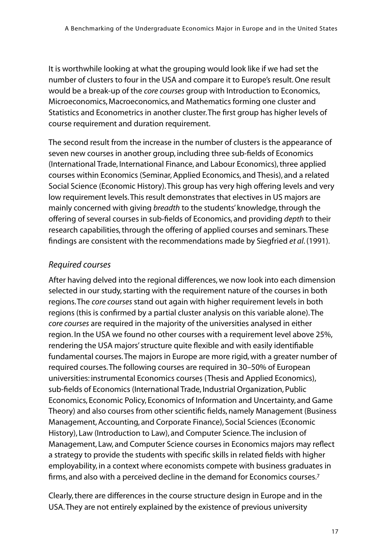It is worthwhile looking at what the grouping would look like if we had set the number of clusters to four in the USA and compare it to Europe's result. One result would be a break-up of the *core courses* group with Introduction to Economics, Microeconomics, Macroeconomics, and Mathematics forming one cluster and Statistics and Econometrics in another cluster.The first group has higher levels of course requirement and duration requirement.

The second result from the increase in the number of clusters is the appearance of seven new courses in another group, including three sub-fields of Economics (International Trade, International Finance, and Labour Economics), three applied courses within Economics (Seminar, Applied Economics, and Thesis), and a related Social Science (Economic History).This group has very high offering levels and very low requirement levels.This result demonstrates that electives in US majors are mainly concerned with giving *breadth* to the students' knowledge, through the offering of several courses in sub-fields of Economics, and providing *depth* to their research capabilities, through the offering of applied courses and seminars.These findings are consistent with the recommendations made by Siegfried *et al*. (1991).

#### *Required courses*

After having delved into the regional differences, we now look into each dimension selected in our study, starting with the requirement nature of the courses in both regions.The *core courses* stand out again with higher requirement levels in both regions (this is confirmed by a partial cluster analysis on this variable alone).The *core courses* are required in the majority of the universities analysed in either region. In the USA we found no other courses with a requirement level above 25%, rendering the USA majors' structure quite flexible and with easily identifiable fundamental courses.The majors in Europe are more rigid, with a greater number of required courses.The following courses are required in 30–50% of European universities: instrumental Economics courses (Thesis and Applied Economics), sub-fields of Economics (International Trade, Industrial Organization, Public Economics, Economic Policy, Economics of Information and Uncertainty, and Game Theory) and also courses from other scientific fields, namely Management (Business Management, Accounting, and Corporate Finance), Social Sciences (Economic History), Law (Introduction to Law), and Computer Science.The inclusion of Management, Law, and Computer Science courses in Economics majors may reflect a strategy to provide the students with specific skills in related fields with higher employability, in a context where economists compete with business graduates in firms, and also with a perceived decline in the demand for Economics courses.<sup>7</sup>

Clearly, there are differences in the course structure design in Europe and in the USA.They are not entirely explained by the existence of previous university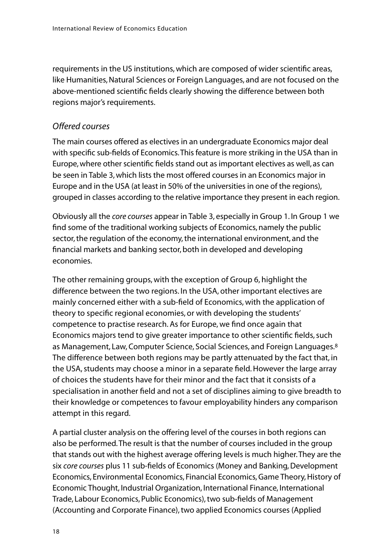requirements in the US institutions, which are composed of wider scientific areas, like Humanities, Natural Sciences or Foreign Languages, and are not focused on the above-mentioned scientific fields clearly showing the difference between both regions major's requirements.

#### *Offered courses*

The main courses offered as electives in an undergraduate Economics major deal with specific sub-fields of Economics.This feature is more striking in the USA than in Europe, where other scientific fields stand out as important electives as well, as can be seen in Table 3, which lists the most offered courses in an Economics major in Europe and in the USA (at least in 50% of the universities in one of the regions), grouped in classes according to the relative importance they present in each region.

Obviously all the *core courses* appear in Table 3, especially in Group 1. In Group 1 we find some of the traditional working subjects of Economics, namely the public sector, the regulation of the economy, the international environment, and the financial markets and banking sector, both in developed and developing economies.

The other remaining groups, with the exception of Group 6, highlight the difference between the two regions. In the USA, other important electives are mainly concerned either with a sub-field of Economics, with the application of theory to specific regional economies, or with developing the students' competence to practise research.As for Europe, we find once again that Economics majors tend to give greater importance to other scientific fields, such as Management, Law, Computer Science, Social Sciences, and Foreign Languages.8 The difference between both regions may be partly attenuated by the fact that, in the USA, students may choose a minor in a separate field. However the large array of choices the students have for their minor and the fact that it consists of a specialisation in another field and not a set of disciplines aiming to give breadth to their knowledge or competences to favour employability hinders any comparison attempt in this regard.

A partial cluster analysis on the offering level of the courses in both regions can also be performed.The result is that the number of courses included in the group that stands out with the highest average offering levels is much higher.They are the six *core courses* plus 11 sub-fields of Economics (Money and Banking, Development Economics, Environmental Economics, Financial Economics, Game Theory, History of Economic Thought, Industrial Organization, International Finance, International Trade, Labour Economics, Public Economics), two sub-fields of Management (Accounting and Corporate Finance), two applied Economics courses (Applied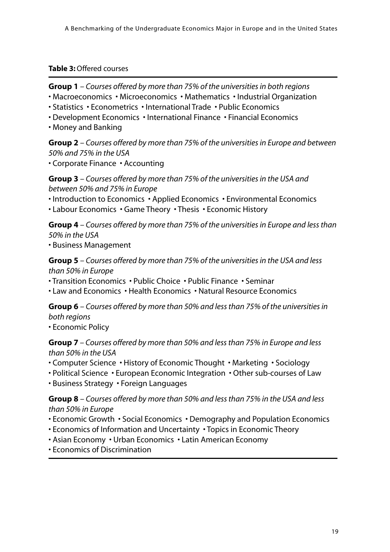**Table 3:**Offered courses

**Group 1** *– Courses offered by more than 75% of the universities in both regions*

• Macroeconomics • Microeconomics • Mathematics • Industrial Organization

- Statistics Econometrics International Trade Public Economics
- Development Economics International Finance Financial Economics

• Money and Banking

**Group 2** *– Courses offered by more than 75% of the universities in Europe and between 50% and 75% in the USA*

• Corporate Finance • Accounting

**Group 3** *– Courses offered by more than 75% of the universities in the USA and between 50% and 75% in Europe*

• Introduction to Economics • Applied Economics • Environmental Economics

• Labour Economics • Game Theory • Thesis • Economic History

**Group 4** *– Courses offered by more than 75% of the universities in Europe and less than 50% in the USA*

• Business Management

**Group 5** *– Courses offered by more than 75% of the universities in the USA and less than 50% in Europe*

• Transition Economics • Public Choice • Public Finance • Seminar

• Law and Economics • Health Economics • Natural Resource Economics

**Group 6** *– Courses offered by more than 50% and less than 75% of the universities in both regions*

• Economic Policy

**Group 7** *– Courses offered by more than 50% and less than 75% in Europe and less than 50% in the USA*

- Computer Science History of Economic Thought Marketing Sociology
- Political Science European Economic Integration Other sub-courses of Law

• Business Strategy • Foreign Languages

**Group 8** *– Courses offered by more than 50% and less than 75% in the USA and less than 50% in Europe*

- Economic Growth Social Economics Demography and Population Economics
- Economics of Information and Uncertainty Topics in Economic Theory
- Asian Economy Urban Economics Latin American Economy
- Economics of Discrimination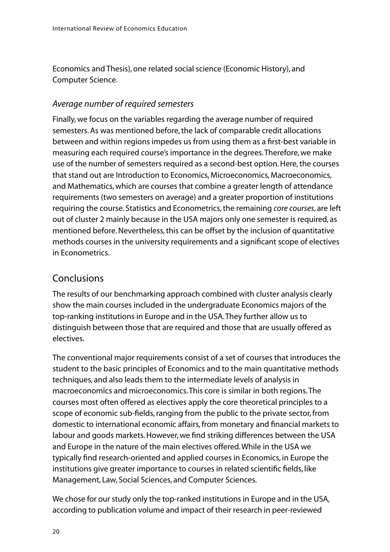Economics and Thesis), one related social science (Economic History), and Computer Science.

## *Average number of required semesters*

Finally, we focus on the variables regarding the average number of required semesters. As was mentioned before, the lack of comparable credit allocations between and within regions impedes us from using them as a first-best variable in measuring each required course's importance in the degrees.Therefore, we make use of the number of semesters required as a second-best option. Here, the courses that stand out are Introduction to Economics, Microeconomics, Macroeconomics, and Mathematics, which are courses that combine a greater length of attendance requirements (two semesters on average) and a greater proportion of institutions requiring the course. Statistics and Econometrics, the remaining *core courses*, are left out of cluster 2 mainly because in the USA majors only one semester is required, as mentioned before. Nevertheless, this can be offset by the inclusion of quantitative methods courses in the university requirements and a significant scope of electives in Econometrics.

# Conclusions

The results of our benchmarking approach combined with cluster analysis clearly show the main courses included in the undergraduate Economics majors of the top-ranking institutions in Europe and in the USA.They further allow us to distinguish between those that are required and those that are usually offered as electives.

The conventional major requirements consist of a set of courses that introduces the student to the basic principles of Economics and to the main quantitative methods techniques, and also leads them to the intermediate levels of analysis in macroeconomics and microeconomics.This core is similar in both regions.The courses most often offered as electives apply the core theoretical principles to a scope of economic sub-fields, ranging from the public to the private sector, from domestic to international economic affairs, from monetary and financial markets to labour and goods markets. However, we find striking differences between the USA and Europe in the nature of the main electives offered.While in the USA we typically find research-oriented and applied courses in Economics, in Europe the institutions give greater importance to courses in related scientific fields, like Management, Law, Social Sciences, and Computer Sciences.

We chose for our study only the top-ranked institutions in Europe and in the USA, according to publication volume and impact of their research in peer-reviewed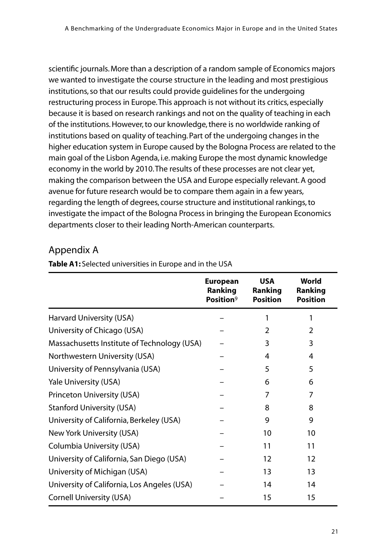scientific journals. More than a description of a random sample of Economics majors we wanted to investigate the course structure in the leading and most prestigious institutions, so that our results could provide guidelines for the undergoing restructuring process in Europe.This approach is not without its critics, especially because it is based on research rankings and not on the quality of teaching in each of the institutions. However, to our knowledge, there is no worldwide ranking of institutions based on quality of teaching. Part of the undergoing changes in the higher education system in Europe caused by the Bologna Process are related to the main goal of the Lisbon Agenda, i.e. making Europe the most dynamic knowledge economy in the world by 2010.The results of these processes are not clear yet, making the comparison between the USA and Europe especially relevant. A good avenue for future research would be to compare them again in a few years, regarding the length of degrees, course structure and institutional rankings, to investigate the impact of the Bologna Process in bringing the European Economics departments closer to their leading North-American counterparts.

## Appendix A

|                                             | <b>European</b><br>Ranking<br>Position <sup>9</sup> | <b>USA</b><br>Ranking<br><b>Position</b> | World<br>Ranking<br><b>Position</b> |
|---------------------------------------------|-----------------------------------------------------|------------------------------------------|-------------------------------------|
| Harvard University (USA)                    |                                                     | 1                                        | 1                                   |
| University of Chicago (USA)                 |                                                     | 2                                        | ς                                   |
| Massachusetts Institute of Technology (USA) |                                                     | 3                                        | 3                                   |
| Northwestern University (USA)               |                                                     | 4                                        | 4                                   |
| University of Pennsylvania (USA)            |                                                     | 5                                        | 5                                   |
| Yale University (USA)                       |                                                     | 6                                        | 6                                   |
| Princeton University (USA)                  |                                                     | 7                                        | 7                                   |
| Stanford University (USA)                   |                                                     | 8                                        | 8                                   |
| University of California, Berkeley (USA)    |                                                     | 9                                        | 9                                   |
| New York University (USA)                   |                                                     | 10                                       | 10                                  |
| Columbia University (USA)                   |                                                     | 11                                       | 11                                  |
| University of California, San Diego (USA)   |                                                     | 12                                       | 12                                  |
| University of Michigan (USA)                |                                                     | 13                                       | 13                                  |
| University of California, Los Angeles (USA) |                                                     | 14                                       | 14                                  |
| Cornell University (USA)                    |                                                     | 15                                       | 15                                  |

**Table A1:** Selected universities in Europe and in the USA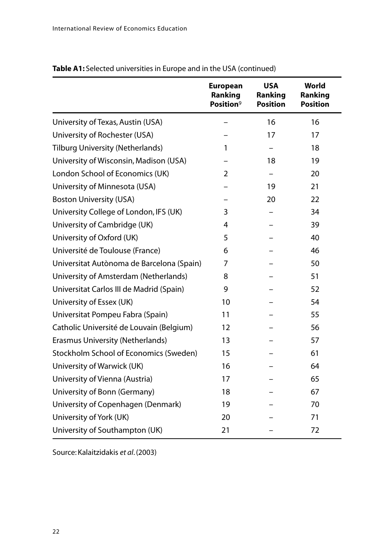|                                           | <b>European</b><br>Ranking<br>Position <sup>9</sup> | <b>USA</b><br>Ranking<br><b>Position</b> | World<br>Ranking<br><b>Position</b> |
|-------------------------------------------|-----------------------------------------------------|------------------------------------------|-------------------------------------|
| University of Texas, Austin (USA)         |                                                     | 16                                       | 16                                  |
| University of Rochester (USA)             |                                                     | 17                                       | 17                                  |
| <b>Tilburg University (Netherlands)</b>   | 1                                                   |                                          | 18                                  |
| University of Wisconsin, Madison (USA)    |                                                     | 18                                       | 19                                  |
| London School of Economics (UK)           | 2                                                   |                                          | 20                                  |
| University of Minnesota (USA)             |                                                     | 19                                       | 21                                  |
| <b>Boston University (USA)</b>            |                                                     | 20                                       | 22                                  |
| University College of London, IFS (UK)    | 3                                                   |                                          | 34                                  |
| University of Cambridge (UK)              | 4                                                   |                                          | 39                                  |
| University of Oxford (UK)                 | 5                                                   |                                          | 40                                  |
| Université de Toulouse (France)           | 6                                                   |                                          | 46                                  |
| Universitat Autònoma de Barcelona (Spain) | 7                                                   |                                          | 50                                  |
| University of Amsterdam (Netherlands)     | 8                                                   |                                          | 51                                  |
| Universitat Carlos III de Madrid (Spain)  | 9                                                   |                                          | 52                                  |
| University of Essex (UK)                  | 10                                                  |                                          | 54                                  |
| Universitat Pompeu Fabra (Spain)          | 11                                                  |                                          | 55                                  |
| Catholic Université de Louvain (Belgium)  | 12                                                  |                                          | 56                                  |
| <b>Erasmus University (Netherlands)</b>   | 13                                                  |                                          | 57                                  |
| Stockholm School of Economics (Sweden)    | 15                                                  |                                          | 61                                  |
| University of Warwick (UK)                | 16                                                  |                                          | 64                                  |
| University of Vienna (Austria)            | 17                                                  |                                          | 65                                  |
| University of Bonn (Germany)              | 18                                                  |                                          | 67                                  |
| University of Copenhagen (Denmark)        | 19                                                  |                                          | 70                                  |
| University of York (UK)                   | 20                                                  |                                          | 71                                  |
| University of Southampton (UK)            | 21                                                  |                                          | 72                                  |

**Table A1:** Selected universities in Europe and in the USA (continued)

Source: Kalaitzidakis *et al*. (2003)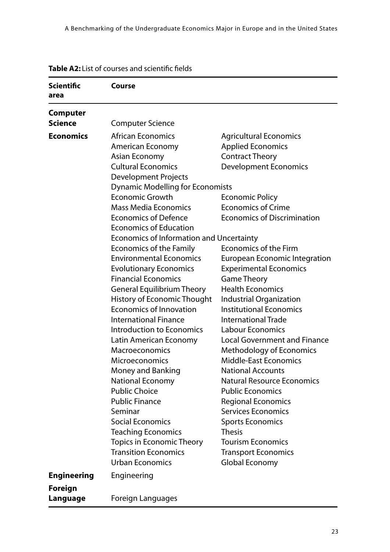| Scientific<br>area | Course                                   |                                    |
|--------------------|------------------------------------------|------------------------------------|
| Computer           |                                          |                                    |
| Science            | Computer Science                         |                                    |
| <b>Economics</b>   | African Economics                        | <b>Agricultural Economics</b>      |
|                    | American Economy                         | <b>Applied Economics</b>           |
|                    | Asian Economy                            | <b>Contract Theory</b>             |
|                    | <b>Cultural Economics</b>                | <b>Development Economics</b>       |
|                    | Development Projects                     |                                    |
|                    | Dynamic Modelling for Economists         |                                    |
|                    | Economic Growth                          | <b>Economic Policy</b>             |
|                    | Mass Media Economics                     | <b>Economics of Crime</b>          |
|                    | <b>Economics of Defence</b>              | <b>Economics of Discrimination</b> |
|                    | <b>Economics of Education</b>            |                                    |
|                    | Economics of Information and Uncertainty |                                    |
|                    | Economics of the Family                  | Economics of the Firm              |
|                    | <b>Environmental Economics</b>           | European Economic Integration      |
|                    | <b>Evolutionary Economics</b>            | <b>Experimental Economics</b>      |
|                    | <b>Financial Economics</b>               | <b>Game Theory</b>                 |
|                    | <b>General Equilibrium Theory</b>        | Health Economics                   |
|                    | History of Economic Thought              | <b>Industrial Organization</b>     |
|                    | <b>Economics of Innovation</b>           | <b>Institutional Economics</b>     |
|                    | <b>International Finance</b>             | International Trade                |
|                    | Introduction to Economics                | Labour Economics                   |
|                    | Latin American Economy                   | Local Government and Finance       |
|                    | Macroeconomics                           | Methodology of Economics           |
|                    | Microeconomics                           | Middle-East Economics              |
|                    | Money and Banking                        | <b>National Accounts</b>           |
|                    | National Economy                         | Natural Resource Economics         |
|                    | <b>Public Choice</b>                     | <b>Public Economics</b>            |
|                    | <b>Public Finance</b>                    | <b>Regional Economics</b>          |
|                    | Seminar                                  | Services Economics                 |
|                    | <b>Social Economics</b>                  | Sports Economics                   |
|                    | <b>Teaching Economics</b>                | <b>Thesis</b>                      |
|                    | Topics in Economic Theory                | <b>Tourism Economics</b>           |
|                    | <b>Transition Economics</b>              | <b>Transport Economics</b>         |
|                    | Urban Fconomics                          | Global Economy                     |
| <b>Engineering</b> | Engineering                              |                                    |
| Foreign            |                                          |                                    |
| Language           | Foreign Languages                        |                                    |

#### **Table A2:** List of courses and scientific fields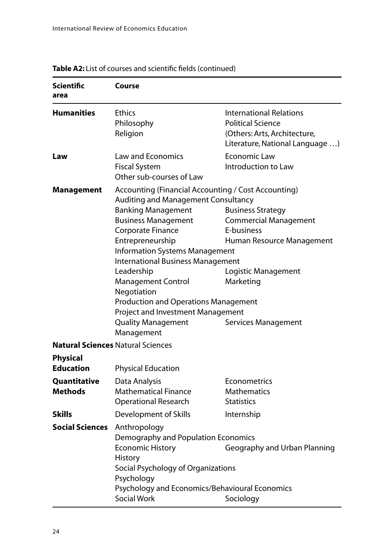| International Relations<br>(Others: Arts, Architecture,<br>Literature, National Language )<br>Introduction to Law                                                                          |
|--------------------------------------------------------------------------------------------------------------------------------------------------------------------------------------------|
|                                                                                                                                                                                            |
|                                                                                                                                                                                            |
| Accounting (Financial Accounting / Cost Accounting)<br><b>Business Strategy</b><br><b>Commercial Management</b><br>Human Resource Management<br>Logistic Management<br>Services Management |
|                                                                                                                                                                                            |
|                                                                                                                                                                                            |
|                                                                                                                                                                                            |
|                                                                                                                                                                                            |
| Geography and Urban Planning<br>Psychology and Economics/Behavioural Economics                                                                                                             |
|                                                                                                                                                                                            |

#### **Table A2:** List of courses and scientific fields (continued)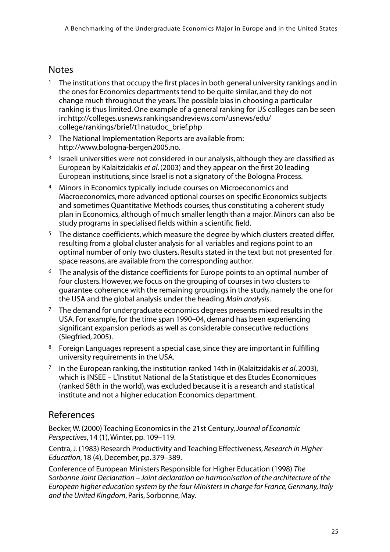# **Notes**

- $1$  The institutions that occupy the first places in both general university rankings and in the ones for Economics departments tend to be quite similar, and they do not change much throughout the years.The possible bias in choosing a particular ranking is thus limited. One example of a general ranking for US colleges can be seen in: http://colleges.usnews.rankingsandreviews.com/usnews/edu/ college/rankings/brief/t1natudoc\_brief.php
- 2 The National Implementation Reports are available from: http://www.bologna-bergen2005.no.
- <sup>3</sup> Israeli universities were not considered in our analysis, although they are classified as European by Kalaitzidakis *et al*. (2003) and they appear on the first 20 leading European institutions, since Israel is not a signatory of the Bologna Process.
- 4 Minors in Economics typically include courses on Microeconomics and Macroeconomics, more advanced optional courses on specific Economics subjects and sometimes Quantitative Methods courses, thus constituting a coherent study plan in Economics, although of much smaller length than a major. Minors can also be study programs in specialised fields within a scientific field.
- 5 The distance coefficients, which measure the degree by which clusters created differ, resulting from a global cluster analysis for all variables and regions point to an optimal number of only two clusters. Results stated in the text but not presented for space reasons, are available from the corresponding author.
- 6 The analysis of the distance coefficients for Europe points to an optimal number of four clusters. However, we focus on the grouping of courses in two clusters to guarantee coherence with the remaining groupings in the study, namely the one for the USA and the global analysis under the heading *Main analysis*.
- $7$  The demand for undergraduate economics degrees presents mixed results in the USA. For example, for the time span 1990–04, demand has been experiencing significant expansion periods as well as considerable consecutive reductions (Siegfried, 2005).
- 8 Foreign Languages represent a special case, since they are important in fulfilling university requirements in the USA.
- <sup>7</sup> In the European ranking, the institution ranked 14th in (Kalaitzidakis *et al*. 2003), which is INSEE – L'Institut National de la Statistique et des Etudes Economiques (ranked 58th in the world), was excluded because it is a research and statistical institute and not a higher education Economics department.

# References

Becker, W. (2000) Teaching Economics in the 21st Century,*Journal of Economic Perspectives*, 14 (1), Winter, pp. 109–119.

Centra, J. (1983) Research Productivity and Teaching Effectiveness, *Research in Higher Education*, 18 (4), December, pp. 379–389.

Conference of European Ministers Responsible for Higher Education (1998) *The Sorbonne Joint Declaration – Joint declaration on harmonisation of the architecture of the European higher education system by the four Ministers in charge for France, Germany, Italy and the United Kingdom*, Paris, Sorbonne, May.